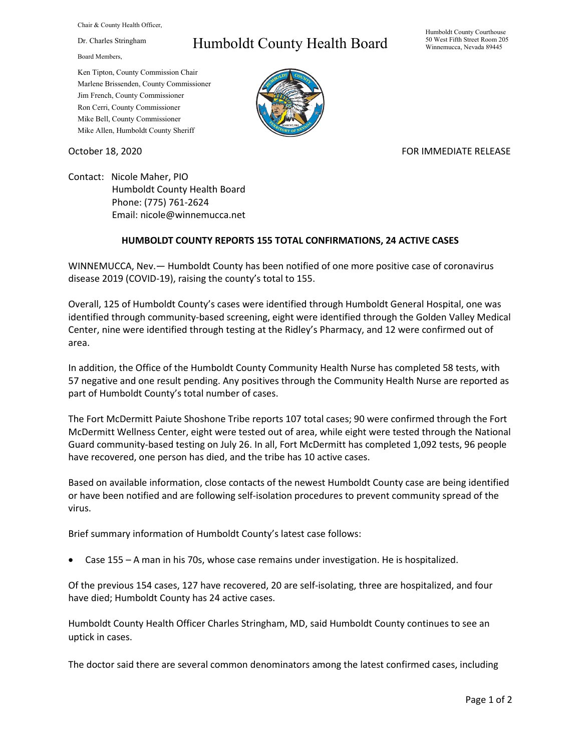Chair & County Health Officer,

Dr. Charles Stringham

Board Members,

## Humboldt County Health Board

Humboldt County Courthouse 50 West Fifth Street Room 205 Winnemucca, Nevada 89445

Ken Tipton, County Commission Chair Marlene Brissenden, County Commissioner Jim French, County Commissioner Ron Cerri, County Commissioner Mike Bell, County Commissioner Mike Allen, Humboldt County Sheriff



## October 18, 2020 **FOR IMMEDIATE RELEASE**

Contact: Nicole Maher, PIO Humboldt County Health Board Phone: (775) 761-2624 Email: nicole@winnemucca.net

## **HUMBOLDT COUNTY REPORTS 155 TOTAL CONFIRMATIONS, 24 ACTIVE CASES**

WINNEMUCCA, Nev.— Humboldt County has been notified of one more positive case of coronavirus disease 2019 (COVID-19), raising the county's total to 155.

Overall, 125 of Humboldt County's cases were identified through Humboldt General Hospital, one was identified through community-based screening, eight were identified through the Golden Valley Medical Center, nine were identified through testing at the Ridley's Pharmacy, and 12 were confirmed out of area.

In addition, the Office of the Humboldt County Community Health Nurse has completed 58 tests, with 57 negative and one result pending. Any positives through the Community Health Nurse are reported as part of Humboldt County's total number of cases.

The Fort McDermitt Paiute Shoshone Tribe reports 107 total cases; 90 were confirmed through the Fort McDermitt Wellness Center, eight were tested out of area, while eight were tested through the National Guard community-based testing on July 26. In all, Fort McDermitt has completed 1,092 tests, 96 people have recovered, one person has died, and the tribe has 10 active cases.

Based on available information, close contacts of the newest Humboldt County case are being identified or have been notified and are following self-isolation procedures to prevent community spread of the virus.

Brief summary information of Humboldt County's latest case follows:

• Case 155 – A man in his 70s, whose case remains under investigation. He is hospitalized.

Of the previous 154 cases, 127 have recovered, 20 are self-isolating, three are hospitalized, and four have died; Humboldt County has 24 active cases.

Humboldt County Health Officer Charles Stringham, MD, said Humboldt County continues to see an uptick in cases.

The doctor said there are several common denominators among the latest confirmed cases, including